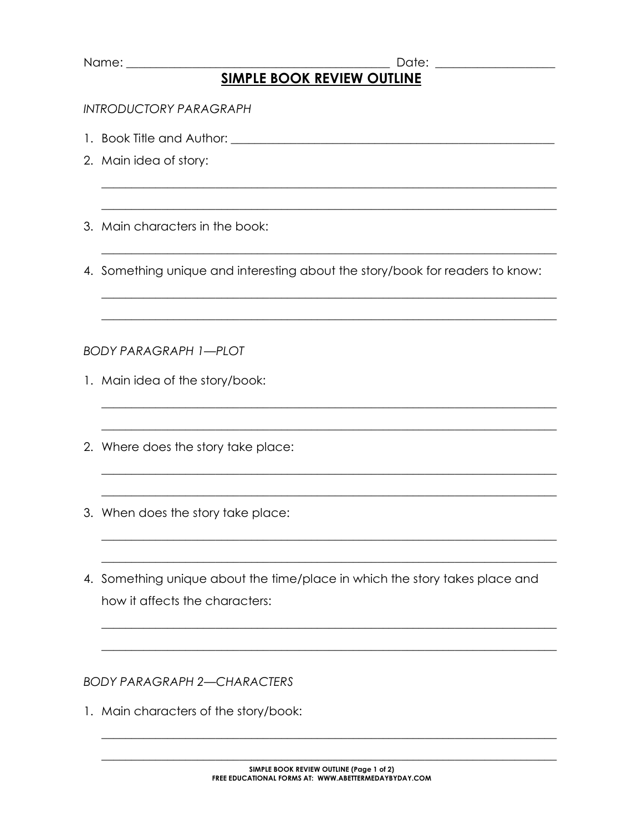| Name: |  |
|-------|--|
|       |  |

## Date: the contract of the contract of the contract of the contract of the contract of the contract of the contract of the contract of the contract of the contract of the contract of the contract of the contract of the cont **SIMPLE BOOK REVIEW OUTLINE**

## **INTRODUCTORY PARAGRAPH**

- 1. Book Title and Author: The Second Second Second Second Second Second Second Second Second Second Second Second Second Second Second Second Second Second Second Second Second Second Second Second Second Second Second Sec
- 2. Main idea of story:
- 3. Main characters in the book:

4. Something unique and interesting about the story/book for readers to know:

**BODY PARAGRAPH 1-PLOT** 

- 1. Main idea of the story/book:
- 2. Where does the story take place:
- 3. When does the story take place:
- 4. Something unique about the time/place in which the story takes place and how it affects the characters:

**BODY PARAGRAPH 2-CHARACTERS** 

1. Main characters of the story/book: